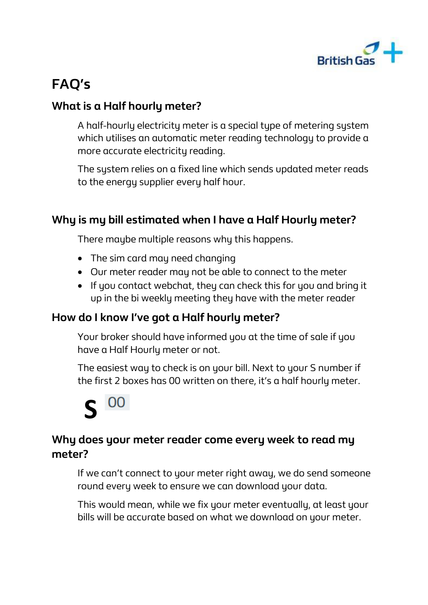

## **What is a Half hourly meter?**

A half-hourly electricity meter is a special type of metering system which utilises an automatic meter reading technology to provide a more accurate electricity reading.

The sustem relies on a fixed line which sends updated meter reads to the energy supplier every half hour.

# **Why is my bill estimated when I have a Half Hourly meter?**

There maybe multiple reasons why this happens.

- The sim card may need changing
- Our meter reader may not be able to connect to the meter
- If you contact webchat, they can check this for you and bring it up in the bi weekly meeting they have with the meter reader

# **How do I know I've got a Half hourly meter?**

Your broker should have informed you at the time of sale if you have a Half Hourly meter or not.

The easiest way to check is on your bill. Next to your S number if the first 2 boxes has 00 written on there, it's a half hourly meter.



# **Why does your meter reader come every week to read my meter?**

If we can't connect to your meter right away, we do send someone round every week to ensure we can download your data.

This would mean, while we fix your meter eventually, at least your bills will be accurate based on what we download on your meter.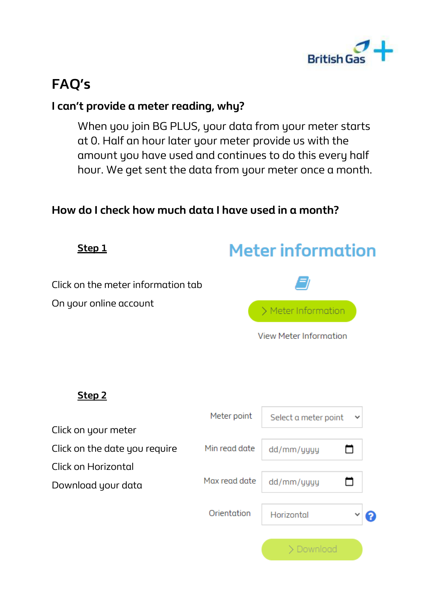

### **I can't provide a meter reading, why?**

When you join BG PLUS, your data from your meter starts at 0. Half an hour later your meter provide us with the amount you have used and continues to do this every half hour. We get sent the data from your meter once a month.

#### **How do I check how much data I have used in a month?**

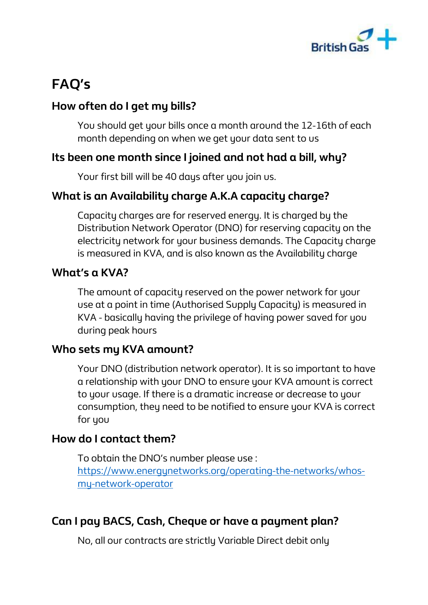

## **How often do I get my bills?**

You should get your bills once a month around the 12-16th of each month depending on when we get your data sent to us

## **Its been one month since I joined and not had a bill, why?**

Your first bill will be 40 days after you join us.

# **What is an Availability charge A.K.A capacity charge?**

Capacity charges are for reserved energy. It is charged by the Distribution Network Operator (DNO) for reserving capacity on the electricity network for your business demands. The Capacity charge is measured in KVA, and is also known as the Availability charge

#### **What's a KVA?**

The amount of capacity reserved on the power network for your use at a point in time (Authorised Supply Capacity) is measured in KVA - basically having the privilege of having power saved for you during peak hours

## **Who sets my KVA amount?**

Your DNO (distribution network operator). It is so important to have a relationship with your DNO to ensure your KVA amount is correct to your usage. If there is a dramatic increase or decrease to your consumption, they need to be notified to ensure your KVA is correct for you

#### **How do I contact them?**

To obtain the DNO's number please use : [https://www.energynetworks.org/operating-the-networks/whos](https://www.energynetworks.org/operating-the-networks/whos-my-network-operator)[my-network-operator](https://www.energynetworks.org/operating-the-networks/whos-my-network-operator)

# **Can I pay BACS, Cash, Cheque or have a payment plan?**

No, all our contracts are strictly Variable Direct debit only